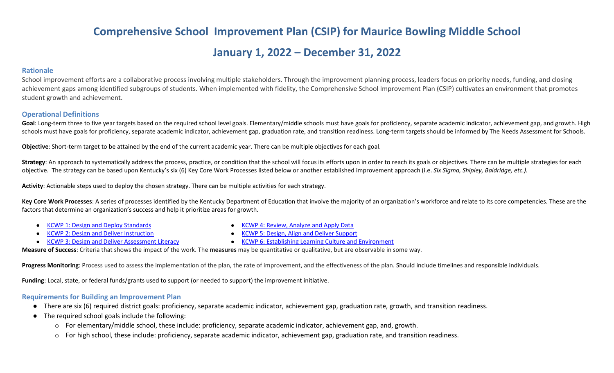# **Comprehensive School Improvement Plan (CSIP) for Maurice Bowling Middle School**

## **January 1, 2022 – December 31, 2022**

#### **Rationale**

School improvement efforts are a collaborative process involving multiple stakeholders. Through the improvement planning process, leaders focus on priority needs, funding, and closing achievement gaps among identified subgroups of students. When implemented with fidelity, the Comprehensive School Improvement Plan (CSIP) cultivates an environment that promotes student growth and achievement.

#### **Operational Definitions**

Goal: Long-term three to five year targets based on the required school level goals. Elementary/middle schools must have goals for proficiency, separate academic indicator, achievement gap, and growth. High schools must have goals for proficiency, separate academic indicator, achievement gap, graduation rate, and transition readiness. Long-term targets should be informed by The Needs Assessment for Schools.

**Objective**: Short-term target to be attained by the end of the current academic year. There can be multiple objectives for each goal.

Strategy: An approach to systematically address the process, practice, or condition that the school will focus its efforts upon in order to reach its goals or objectives. There can be multiple strategies for each objective. The strategy can be based upon Kentucky's six (6) Key Core Work Processes listed below or another established improvement approach (i.e. *Six Sigma, Shipley, Baldridge, etc.).*

**Activity**: Actionable steps used to deploy the chosen strategy. There can be multiple activities for each strategy.

Key Core Work Processes: A series of processes identified by the Kentucky Department of Education that involve the majority of an organization's workforce and relate to its core competencies. These are the factors that determine an organization's success and help it prioritize areas for growth.

- [KCWP 1: Design and Deploy Standards](https://education.ky.gov/school/csip/Documents/KCWP%201%20Strategic%20Design%20and%20Deploy%20Standards.pdf)
- **[KCWP 2: Design and Deliver Instruction](https://education.ky.gov/school/csip/Documents/KCWP%202%20Strategic%20Design%20and%20Deliver%20Instruction.pdf)**
- [KCWP 3: Design and Deliver Assessment Literacy](https://education.ky.gov/school/csip/Documents/KCWP%203%20Strategic%20Design%20and%20Deliver%20Assessment%20Literacy.pdf)
- [KCWP 4: Review, Analyze and Apply Data](https://education.ky.gov/school/csip/Documents/KCWP%204%20Strategic%20Review%20Analyze%20and%20Apply%20Data.pdf)
- **[KCWP 5: Design, Align and Deliver Support](https://education.ky.gov/school/csip/Documents/KCWP%205%20Strategic%20Design%20Align%20Deliver%20Support%20Processes.pdf)**
- [KCWP 6: Establishing Learning Culture and Environment](https://education.ky.gov/school/csip/Documents/KCWP%206%20Strategic%20Establish%20Learning%20Culture%20and%20Environment.pdf)

**Measure of Success**: Criteria that shows the impact of the work. The **measures** may be quantitative or qualitative, but are observable in some way.

Progress Monitoring: Process used to assess the implementation of the plan, the rate of improvement, and the effectiveness of the plan. Should include timelines and responsible individuals.

**Funding**: Local, state, or federal funds/grants used to support (or needed to support) the improvement initiative.

#### **Requirements for Building an Improvement Plan**

- There are six (6) required district goals: proficiency, separate academic indicator, achievement gap, graduation rate, growth, and transition readiness.
- The required school goals include the following:
	- o For elementary/middle school, these include: proficiency, separate academic indicator, achievement gap, and, growth.
	- o For high school, these include: proficiency, separate academic indicator, achievement gap, graduation rate, and transition readiness.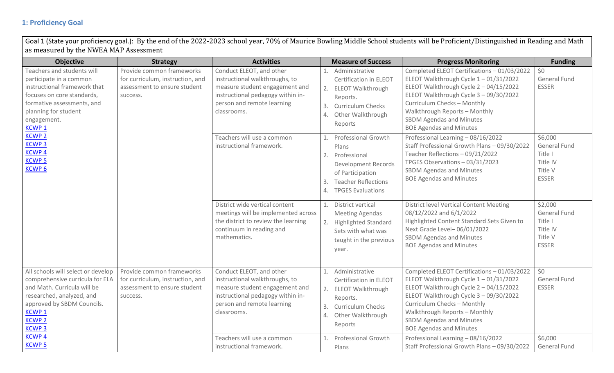### **1: Proficiency Goal**

Goal 1 (State your proficiency goal.): By the end of the 2022-2023 school year, 70% of Maurice Bowling Middle School students will be Proficient/Distinguished in Reading and Math as measured by the NWEA MAP Assessment

| <b>Objective</b>                                                                                                                                                                                                 | <b>Strategy</b>                                                                                           | <b>Activities</b>                                                                                                                                                              | <b>Measure of Success</b>                                                                                                                                                              | <b>Progress Monitoring</b>                                                                                                                                                                                                                                                                                       | <b>Funding</b>                                                                   |
|------------------------------------------------------------------------------------------------------------------------------------------------------------------------------------------------------------------|-----------------------------------------------------------------------------------------------------------|--------------------------------------------------------------------------------------------------------------------------------------------------------------------------------|----------------------------------------------------------------------------------------------------------------------------------------------------------------------------------------|------------------------------------------------------------------------------------------------------------------------------------------------------------------------------------------------------------------------------------------------------------------------------------------------------------------|----------------------------------------------------------------------------------|
| Teachers and students will<br>participate in a common<br>instructional framework that<br>focuses on core standards,<br>formative assessments, and<br>planning for student<br>engagement.<br>KCWP <sub>1</sub>    | Provide common frameworks<br>for curriculum, instruction, and<br>assessment to ensure student<br>success. | Conduct ELEOT, and other<br>instructional walkthroughs, to<br>measure student engagement and<br>instructional pedagogy within in-<br>person and remote learning<br>classrooms. | Administrative<br>Certification in ELEOT<br>2.<br><b>ELEOT Walkthrough</b><br>Reports.<br>3.<br><b>Curriculum Checks</b><br>4.<br>Other Walkthrough<br>Reports                         | Completed ELEOT Certifications - 01/03/2022<br>ELEOT Walkthrough Cycle 1-01/31/2022<br>ELEOT Walkthrough Cycle 2 - 04/15/2022<br>ELEOT Walkthrough Cycle 3 - 09/30/2022<br>Curriculum Checks - Monthly<br>Walkthrough Reports - Monthly<br><b>SBDM Agendas and Minutes</b><br><b>BOE Agendas and Minutes</b>     | \$0<br>General Fund<br><b>ESSER</b>                                              |
| <b>KCWP 2</b><br><b>KCWP3</b><br><b>KCWP4</b><br><b>KCWP5</b><br><b>KCWP6</b>                                                                                                                                    |                                                                                                           | Teachers will use a common<br>instructional framework.                                                                                                                         | <b>Professional Growth</b><br>Plans<br>2.<br>Professional<br>Development Records<br>of Participation<br><b>Teacher Reflections</b><br>3.<br>$\overline{4}$<br><b>TPGES Evaluations</b> | Professional Learning - 08/16/2022<br>Staff Professional Growth Plans - 09/30/2022<br>Teacher Reflections - 09/21/2022<br>TPGES Observations - 03/31/2023<br><b>SBDM Agendas and Minutes</b><br><b>BOE Agendas and Minutes</b>                                                                                   | \$6,000<br><b>General Fund</b><br>Title I<br>Title IV<br>Title V<br><b>ESSER</b> |
|                                                                                                                                                                                                                  |                                                                                                           | District wide vertical content<br>meetings will be implemented across<br>the district to review the learning<br>continuum in reading and<br>mathematics.                       | District vertical<br>1.<br><b>Meeting Agendas</b><br><b>Highlighted Standard</b><br>2.<br>Sets with what was<br>taught in the previous<br>year.                                        | <b>District level Vertical Content Meeting</b><br>08/12/2022 and 6/1/2022<br>Highlighted Content Standard Sets Given to<br>Next Grade Level-06/01/2022<br><b>SBDM Agendas and Minutes</b><br><b>BOE Agendas and Minutes</b>                                                                                      | \$2,000<br><b>General Fund</b><br>Title I<br>Title IV<br>Title V<br><b>ESSER</b> |
| All schools will select or develop<br>comprehensive curricula for ELA<br>and Math. Curricula will be<br>researched, analyzed, and<br>approved by SBDM Councils.<br><b>KCWP1</b><br><b>KCWP 2</b><br><b>KCWP3</b> | Provide common frameworks<br>for curriculum, instruction, and<br>assessment to ensure student<br>success. | Conduct ELEOT, and other<br>instructional walkthroughs, to<br>measure student engagement and<br>instructional pedagogy within in-<br>person and remote learning<br>classrooms. | Administrative<br>Certification in ELEOT<br>2.<br><b>ELEOT Walkthrough</b><br>Reports.<br>3.<br><b>Curriculum Checks</b><br>4.<br>Other Walkthrough<br>Reports                         | Completed ELEOT Certifications - 01/03/2022<br>ELEOT Walkthrough Cycle $1 - 01/31/2022$<br>ELEOT Walkthrough Cycle 2 - 04/15/2022<br>ELEOT Walkthrough Cycle 3 - 09/30/2022<br>Curriculum Checks - Monthly<br>Walkthrough Reports - Monthly<br><b>SBDM Agendas and Minutes</b><br><b>BOE Agendas and Minutes</b> | \$0<br><b>General Fund</b><br><b>ESSER</b>                                       |
| <b>KCWP4</b><br><b>KCWP5</b>                                                                                                                                                                                     |                                                                                                           | Teachers will use a common<br>instructional framework.                                                                                                                         | <b>Professional Growth</b><br>Plans                                                                                                                                                    | Professional Learning - 08/16/2022<br>Staff Professional Growth Plans - 09/30/2022                                                                                                                                                                                                                               | \$6,000<br>General Fund                                                          |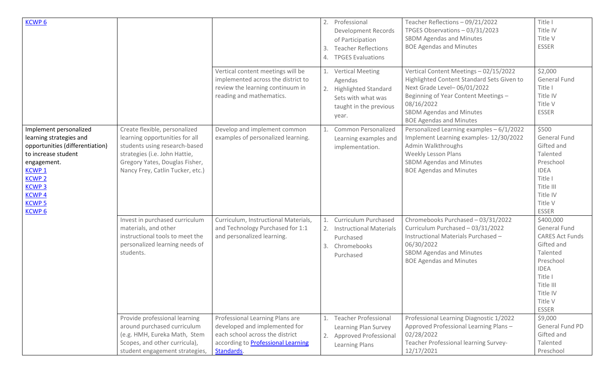| <b>KCWP6</b>                                                                                                                                                                                                                |                                                                                                                                                                                                                                                                                                             | Vertical content meetings will be<br>implemented across the district to<br>review the learning continuum in<br>reading and mathematics.                                                                                                                                  | 2.<br>3.<br>4. | Professional<br><b>Development Records</b><br>of Participation<br><b>Teacher Reflections</b><br><b>TPGES Evaluations</b><br><b>Vertical Meeting</b><br>Agendas<br><b>Highlighted Standard</b><br>Sets with what was<br>taught in the previous | Teacher Reflections - 09/21/2022<br>TPGES Observations - 03/31/2023<br><b>SBDM Agendas and Minutes</b><br><b>BOE Agendas and Minutes</b><br>Vertical Content Meetings - 02/15/2022<br>Highlighted Content Standard Sets Given to<br>Next Grade Level-06/01/2022<br>Beginning of Year Content Meetings -<br>08/16/2022<br><b>SBDM Agendas and Minutes</b>    | Title I<br>Title IV<br>Title V<br><b>ESSER</b><br>\$2,000<br><b>General Fund</b><br>Title I<br>Title IV<br>Title V<br><b>ESSER</b>                                                                                                            |
|-----------------------------------------------------------------------------------------------------------------------------------------------------------------------------------------------------------------------------|-------------------------------------------------------------------------------------------------------------------------------------------------------------------------------------------------------------------------------------------------------------------------------------------------------------|--------------------------------------------------------------------------------------------------------------------------------------------------------------------------------------------------------------------------------------------------------------------------|----------------|-----------------------------------------------------------------------------------------------------------------------------------------------------------------------------------------------------------------------------------------------|-------------------------------------------------------------------------------------------------------------------------------------------------------------------------------------------------------------------------------------------------------------------------------------------------------------------------------------------------------------|-----------------------------------------------------------------------------------------------------------------------------------------------------------------------------------------------------------------------------------------------|
| Implement personalized<br>learning strategies and<br>opportunities (differentiation)<br>to increase student<br>engagement.<br><b>KCWP1</b><br><b>KCWP 2</b><br><b>KCWP3</b><br><b>KCWP4</b><br><b>KCWP5</b><br><b>KCWP6</b> | Create flexible, personalized<br>learning opportunities for all<br>students using research-based<br>strategies (i.e. John Hattie,<br>Gregory Yates, Douglas Fisher,<br>Nancy Frey, Catlin Tucker, etc.)                                                                                                     | Develop and implement common<br>examples of personalized learning.                                                                                                                                                                                                       |                | year.<br>Common Personalized<br>Learning examples and<br>implementation.                                                                                                                                                                      | <b>BOE Agendas and Minutes</b><br>Personalized Learning examples - 6/1/2022<br>Implement Learning examples- 12/30/2022<br>Admin Walkthroughs<br><b>Weekly Lesson Plans</b><br>SBDM Agendas and Minutes<br><b>BOE Agendas and Minutes</b>                                                                                                                    | \$500<br>General Fund<br>Gifted and<br>Talented<br>Preschool<br><b>IDEA</b><br>Title I<br>Title III<br>Title IV<br>Title V<br><b>ESSER</b>                                                                                                    |
|                                                                                                                                                                                                                             | Invest in purchased curriculum<br>materials, and other<br>instructional tools to meet the<br>personalized learning needs of<br>students.<br>Provide professional learning<br>around purchased curriculum<br>(e.g. HMH, Eureka Math, Stem<br>Scopes, and other curricula),<br>student engagement strategies, | Curriculum, Instructional Materials,<br>and Technology Purchased for 1:1<br>and personalized learning.<br>Professional Learning Plans are<br>developed and implemented for<br>each school across the district<br>according to <b>Professional Learning</b><br>Standards. | 2.<br>3.<br>2. | Curriculum Purchased<br><b>Instructional Materials</b><br>Purchased<br>Chromebooks<br>Purchased<br><b>Teacher Professional</b><br>Learning Plan Survey<br><b>Approved Professional</b><br>Learning Plans                                      | Chromebooks Purchased - 03/31/2022<br>Curriculum Purchased - 03/31/2022<br>Instructional Materials Purchased -<br>06/30/2022<br><b>SBDM Agendas and Minutes</b><br><b>BOE Agendas and Minutes</b><br>Professional Learning Diagnostic 1/2022<br>Approved Professional Learning Plans -<br>02/28/2022<br>Teacher Professional learning Survey-<br>12/17/2021 | \$400,000<br>General Fund<br><b>CARES Act Funds</b><br>Gifted and<br>Talented<br>Preschool<br><b>IDEA</b><br>Title I<br>Title III<br>Title IV<br>Title V<br><b>ESSER</b><br>\$9,000<br>General Fund PD<br>Gifted and<br>Talented<br>Preschool |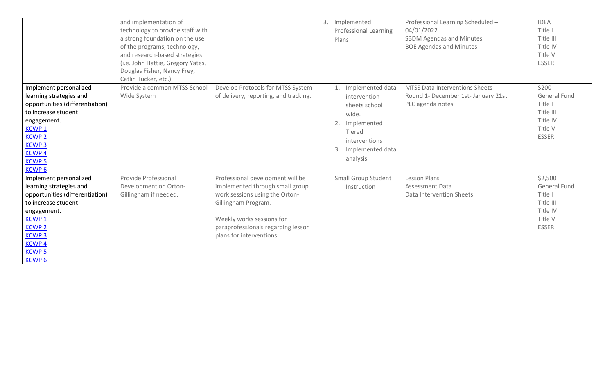|                                                                                                                                                                                                                                  | and implementation of<br>technology to provide staff with<br>a strong foundation on the use<br>of the programs, technology,<br>and research-based strategies<br>(i.e. John Hattie, Gregory Yates,<br>Douglas Fisher, Nancy Frey,<br>Catlin Tucker, etc.). |                                                                                                                                                                                                                             | 3. Implemented<br><b>Professional Learning</b><br>Plans                                                                                                | Professional Learning Scheduled -<br>04/01/2022<br><b>SBDM Agendas and Minutes</b><br><b>BOE Agendas and Minutes</b> | <b>IDEA</b><br>Title I<br>Title III<br>Title IV<br>Title V<br><b>ESSER</b>                    |
|----------------------------------------------------------------------------------------------------------------------------------------------------------------------------------------------------------------------------------|-----------------------------------------------------------------------------------------------------------------------------------------------------------------------------------------------------------------------------------------------------------|-----------------------------------------------------------------------------------------------------------------------------------------------------------------------------------------------------------------------------|--------------------------------------------------------------------------------------------------------------------------------------------------------|----------------------------------------------------------------------------------------------------------------------|-----------------------------------------------------------------------------------------------|
| Implement personalized<br>learning strategies and<br>opportunities (differentiation)<br>to increase student<br>engagement.<br>KCWP <sub>1</sub><br><b>KCWP 2</b><br><b>KCWP3</b><br><b>KCWP4</b><br><b>KCWP5</b><br><b>KCWP6</b> | Provide a common MTSS School<br>Wide System                                                                                                                                                                                                               | Develop Protocols for MTSS System<br>of delivery, reporting, and tracking.                                                                                                                                                  | Implemented data<br>1.<br>intervention<br>sheets school<br>wide.<br>2.<br>Implemented<br>Tiered<br>interventions<br>3.<br>Implemented data<br>analysis | MTSS Data Interventions Sheets<br>Round 1- December 1st- January 21st<br>PLC agenda notes                            | \$200<br>General Fund<br>Title I<br>Title III<br>Title IV<br>Title V<br><b>ESSER</b>          |
| Implement personalized<br>learning strategies and<br>opportunities (differentiation)<br>to increase student<br>engagement.<br><b>KCWP1</b><br><b>KCWP 2</b><br><b>KCWP3</b><br><b>KCWP4</b><br><b>KCWP 5</b><br><b>KCWP6</b>     | Provide Professional<br>Development on Orton-<br>Gillingham if needed.                                                                                                                                                                                    | Professional development will be<br>implemented through small group<br>work sessions using the Orton-<br>Gillingham Program.<br>Weekly works sessions for<br>paraprofessionals regarding lesson<br>plans for interventions. | <b>Small Group Student</b><br>Instruction                                                                                                              | Lesson Plans<br>Assessment Data<br>Data Intervention Sheets                                                          | \$2,500<br><b>General Fund</b><br>Title I<br>Title III<br>Title IV<br>Title V<br><b>ESSER</b> |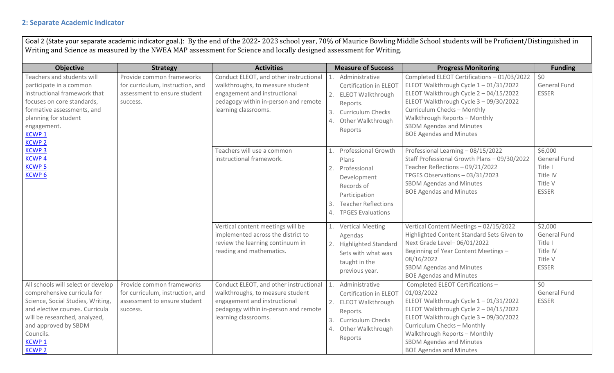#### **2: Separate Academic Indicator**

Goal 2 (State your separate academic indicator goal.): By the end of the 2022- 2023 school year, 70% of Maurice Bowling Middle School students will be Proficient/Distinguished in Writing and Science as measured by the NWEA MAP assessment for Science and locally designed assessment for Writing.

| <b>Objective</b>                                                                                                                                                                                                                                 | <b>Strategy</b>                                                                                           | <b>Activities</b>                                                                                                                                                          | <b>Measure of Success</b>                                                                                                                                                     | <b>Progress Monitoring</b>                                                                                                                                                                                                                                                                                | <b>Funding</b>                                                                   |
|--------------------------------------------------------------------------------------------------------------------------------------------------------------------------------------------------------------------------------------------------|-----------------------------------------------------------------------------------------------------------|----------------------------------------------------------------------------------------------------------------------------------------------------------------------------|-------------------------------------------------------------------------------------------------------------------------------------------------------------------------------|-----------------------------------------------------------------------------------------------------------------------------------------------------------------------------------------------------------------------------------------------------------------------------------------------------------|----------------------------------------------------------------------------------|
| Teachers and students will<br>participate in a common<br>instructional framework that<br>focuses on core standards,<br>formative assessments, and<br>planning for student<br>engagement.<br>KCWP <sub>1</sub><br><b>KCWP 2</b>                   | Provide common frameworks<br>for curriculum, instruction, and<br>assessment to ensure student<br>success. | Conduct ELEOT, and other instructional<br>walkthroughs, to measure student<br>engagement and instructional<br>pedagogy within in-person and remote<br>learning classrooms. | Administrative<br>1.<br>Certification in ELEOT<br>2.<br><b>ELEOT Walkthrough</b><br>Reports.<br><b>Curriculum Checks</b><br>3.<br>Other Walkthrough<br>4.<br>Reports          | Completed ELEOT Certifications - 01/03/2022<br>ELEOT Walkthrough Cycle $1 - 01/31/2022$<br>ELEOT Walkthrough Cycle 2 - 04/15/2022<br>ELEOT Walkthrough Cycle 3 - 09/30/2022<br>Curriculum Checks - Monthly<br>Walkthrough Reports - Monthly<br>SBDM Agendas and Minutes<br><b>BOE Agendas and Minutes</b> | \$0<br>General Fund<br><b>ESSER</b>                                              |
| <b>KCWP3</b><br><b>KCWP4</b><br><b>KCWP5</b><br><b>KCWP6</b>                                                                                                                                                                                     |                                                                                                           | Teachers will use a common<br>instructional framework.                                                                                                                     | <b>Professional Growth</b><br>Plans<br>Professional<br>2.<br>Development<br>Records of<br>Participation<br><b>Teacher Reflections</b><br>3.<br><b>TPGES Evaluations</b><br>4. | Professional Learning - 08/15/2022<br>Staff Professional Growth Plans - 09/30/2022<br>Teacher Reflections - 09/21/2022<br>TPGES Observations - 03/31/2023<br><b>SBDM Agendas and Minutes</b><br><b>BOE Agendas and Minutes</b>                                                                            | \$6,000<br><b>General Fund</b><br>Title I<br>Title IV<br>Title V<br><b>ESSER</b> |
|                                                                                                                                                                                                                                                  |                                                                                                           | Vertical content meetings will be<br>implemented across the district to<br>review the learning continuum in<br>reading and mathematics.                                    | <b>Vertical Meeting</b><br>1.<br>Agendas<br><b>Highlighted Standard</b><br>2.<br>Sets with what was<br>taught in the<br>previous year.                                        | Vertical Content Meetings - 02/15/2022<br>Highlighted Content Standard Sets Given to<br>Next Grade Level-06/01/2022<br>Beginning of Year Content Meetings -<br>08/16/2022<br><b>SBDM Agendas and Minutes</b><br><b>BOE Agendas and Minutes</b>                                                            | \$2,000<br><b>General Fund</b><br>Title I<br>Title IV<br>Title V<br><b>ESSER</b> |
| All schools will select or develop<br>comprehensive curricula for<br>Science, Social Studies, Writing,<br>and elective courses. Curricula<br>will be researched, analyzed,<br>and approved by SBDM<br>Councils.<br><b>KCWP1</b><br><b>KCWP 2</b> | Provide common frameworks<br>for curriculum, instruction, and<br>assessment to ensure student<br>success. | Conduct ELEOT, and other instructional<br>walkthroughs, to measure student<br>engagement and instructional<br>pedagogy within in-person and remote<br>learning classrooms. | Administrative<br>1.<br>Certification in ELEOT<br><b>ELEOT Walkthrough</b><br>2.<br>Reports.<br>3.<br><b>Curriculum Checks</b><br>Other Walkthrough<br>4.<br>Reports          | Completed ELEOT Certifications-<br>01/03/2022<br>ELEOT Walkthrough Cycle 1-01/31/2022<br>ELEOT Walkthrough Cycle 2 - 04/15/2022<br>ELEOT Walkthrough Cycle 3 - 09/30/2022<br>Curriculum Checks - Monthly<br>Walkthrough Reports - Monthly<br>SBDM Agendas and Minutes<br><b>BOE Agendas and Minutes</b>   | \$0<br><b>General Fund</b><br><b>ESSER</b>                                       |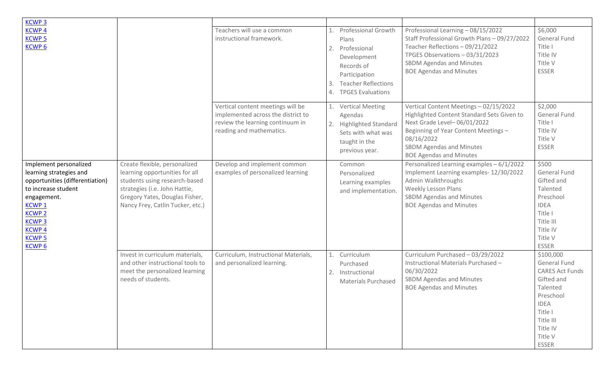| <b>KCWP3</b>                                                                                                                                                                                                                     |                                                                                                                                                                                                         |                                                                                                                                         |                |                                                                                                                                                             |                                                                                                                                                                                                                                                |                                                                                                                                                                          |
|----------------------------------------------------------------------------------------------------------------------------------------------------------------------------------------------------------------------------------|---------------------------------------------------------------------------------------------------------------------------------------------------------------------------------------------------------|-----------------------------------------------------------------------------------------------------------------------------------------|----------------|-------------------------------------------------------------------------------------------------------------------------------------------------------------|------------------------------------------------------------------------------------------------------------------------------------------------------------------------------------------------------------------------------------------------|--------------------------------------------------------------------------------------------------------------------------------------------------------------------------|
| <b>KCWP4</b><br><b>KCWP 5</b><br><b>KCWP6</b>                                                                                                                                                                                    |                                                                                                                                                                                                         | Teachers will use a common<br>instructional framework.                                                                                  | 2.<br>3.<br>4. | <b>Professional Growth</b><br>Plans<br>Professional<br>Development<br>Records of<br>Participation<br><b>Teacher Reflections</b><br><b>TPGES Evaluations</b> | Professional Learning - 08/15/2022<br>Staff Professional Growth Plans - 09/27/2022<br>Teacher Reflections - 09/21/2022<br>TPGES Observations - 03/31/2023<br><b>SBDM Agendas and Minutes</b><br><b>BOE Agendas and Minutes</b>                 | \$6,000<br><b>General Fund</b><br>Title I<br>Title IV<br>Title V<br><b>ESSER</b>                                                                                         |
|                                                                                                                                                                                                                                  |                                                                                                                                                                                                         | Vertical content meetings will be<br>implemented across the district to<br>review the learning continuum in<br>reading and mathematics. | 1.<br>2.       | <b>Vertical Meeting</b><br>Agendas<br><b>Highlighted Standard</b><br>Sets with what was<br>taught in the<br>previous year.                                  | Vertical Content Meetings - 02/15/2022<br>Highlighted Content Standard Sets Given to<br>Next Grade Level-06/01/2022<br>Beginning of Year Content Meetings -<br>08/16/2022<br><b>SBDM Agendas and Minutes</b><br><b>BOE Agendas and Minutes</b> | \$2,000<br><b>General Fund</b><br>Title I<br>Title IV<br>Title V<br><b>ESSER</b>                                                                                         |
| Implement personalized<br>learning strategies and<br>opportunities (differentiation)<br>to increase student<br>engagement.<br><b>KCWP1</b><br><b>KCWP 2</b><br><b>KCWP3</b><br><b>KCWP4</b><br><b>KCWP5</b><br>KCWP <sub>6</sub> | Create flexible, personalized<br>learning opportunities for all<br>students using research-based<br>strategies (i.e. John Hattie,<br>Gregory Yates, Douglas Fisher,<br>Nancy Frey, Catlin Tucker, etc.) | Develop and implement common<br>examples of personalized learning                                                                       |                | Common<br>Personalized<br>Learning examples<br>and implementation.                                                                                          | Personalized Learning examples - 6/1/2022<br>Implement Learning examples- 12/30/2022<br>Admin Walkthroughs<br><b>Weekly Lesson Plans</b><br><b>SBDM Agendas and Minutes</b><br><b>BOE Agendas and Minutes</b>                                  | \$500<br><b>General Fund</b><br>Gifted and<br>Talented<br>Preschool<br><b>IDEA</b><br>Title I<br>Title III<br>Title IV<br>Title V<br><b>ESSER</b>                        |
|                                                                                                                                                                                                                                  | Invest in curriculum materials,<br>and other instructional tools to<br>meet the personalized learning<br>needs of students.                                                                             | Curriculum, Instructional Materials,<br>and personalized learning.                                                                      | 1.<br>2.       | Curriculum<br>Purchased<br>Instructional<br><b>Materials Purchased</b>                                                                                      | Curriculum Purchased - 03/29/2022<br>Instructional Materials Purchased -<br>06/30/2022<br><b>SBDM Agendas and Minutes</b><br><b>BOE Agendas and Minutes</b>                                                                                    | \$100,000<br><b>General Fund</b><br><b>CARES Act Funds</b><br>Gifted and<br>Talented<br>Preschool<br><b>IDEA</b><br>Title I<br>Title III<br>Title IV<br>Title V<br>ESSER |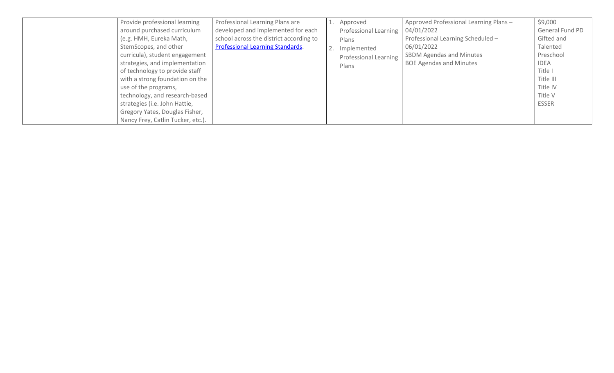| Provide professional learning     | Professional Learning Plans are         | Approved                     | Approved Professional Learning Plans - | \$9,000         |
|-----------------------------------|-----------------------------------------|------------------------------|----------------------------------------|-----------------|
| around purchased curriculum       | developed and implemented for each      | Professional Learning        | 04/01/2022                             | General Fund PD |
| (e.g. HMH, Eureka Math,           | school across the district according to | Plans                        | Professional Learning Scheduled -      | Gifted and      |
| StemScopes, and other             | <b>Professional Learning Standards.</b> | Implemented                  | 06/01/2022                             | Talented        |
| curricula), student engagement    |                                         | <b>Professional Learning</b> | <b>SBDM Agendas and Minutes</b>        | Preschool       |
| strategies, and implementation    |                                         | Plans                        | <b>BOE Agendas and Minutes</b>         | IDEA            |
| of technology to provide staff    |                                         |                              |                                        | Title I         |
| with a strong foundation on the   |                                         |                              |                                        | Title III       |
| use of the programs,              |                                         |                              |                                        | Title IV        |
| technology, and research-based    |                                         |                              |                                        | Title V         |
| strategies (i.e. John Hattie,     |                                         |                              |                                        | <b>ESSER</b>    |
| Gregory Yates, Douglas Fisher,    |                                         |                              |                                        |                 |
| Nancy Frey, Catlin Tucker, etc.). |                                         |                              |                                        |                 |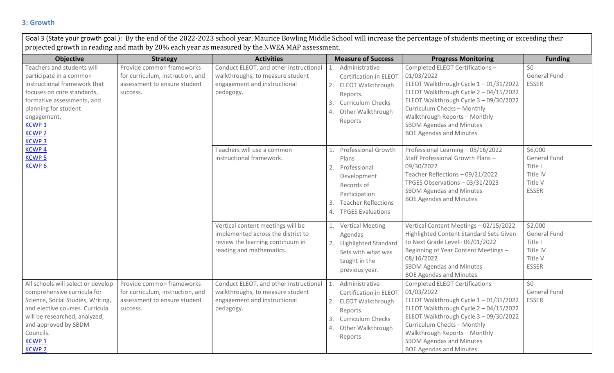#### **3: Growth**

Goal 3 (State your growth goal.): By the end of the 2022-2023 school year, Maurice Bowling Middle School will increase the percentage of students meeting or exceeding their projected growth in reading and math by 20% each year as measured by the NWEA MAP assessment.

| <b>Objective</b>                                                                                                                                                                                                                                 | <b>Strategy</b>                                                                                           | <b>Activities</b>                                                                                                                       | <b>Measure of Success</b>                                                                                                                                                           | <b>Progress Monitoring</b>                                                                                                                                                                                                                                                                                      | <b>Funding</b>                                                                   |
|--------------------------------------------------------------------------------------------------------------------------------------------------------------------------------------------------------------------------------------------------|-----------------------------------------------------------------------------------------------------------|-----------------------------------------------------------------------------------------------------------------------------------------|-------------------------------------------------------------------------------------------------------------------------------------------------------------------------------------|-----------------------------------------------------------------------------------------------------------------------------------------------------------------------------------------------------------------------------------------------------------------------------------------------------------------|----------------------------------------------------------------------------------|
| Teachers and students will<br>participate in a common<br>instructional framework that<br>focuses on core standards,<br>formative assessments, and<br>planning for student<br>engagement.<br><b>KCWP1</b><br><b>KCWP 2</b><br><b>KCWP3</b>        | Provide common frameworks<br>for curriculum, instruction, and<br>assessment to ensure student<br>success. | Conduct ELEOT, and other instructional<br>walkthroughs, to measure student<br>engagement and instructional<br>pedagogy.                 | Administrative<br>Certification in ELEOT<br>2. ELEOT Walkthrough<br>Reports.<br><b>Curriculum Checks</b><br>3.<br>Other Walkthrough<br>Reports                                      | Completed ELEOT Certifications -<br>01/03/2022<br>ELEOT Walkthrough Cycle 1-01/31/2022<br>ELEOT Walkthrough Cycle 2 - 04/15/2022<br>ELEOT Walkthrough Cycle 3 - 09/30/2022<br>Curriculum Checks - Monthly<br>Walkthrough Reports - Monthly<br><b>SBDM Agendas and Minutes</b><br><b>BOE Agendas and Minutes</b> | \$0<br><b>General Fund</b><br><b>ESSER</b>                                       |
| <b>KCWP4</b><br><b>KCWP<sub>5</sub></b><br><b>KCWP6</b>                                                                                                                                                                                          |                                                                                                           | Teachers will use a common<br>instructional framework.                                                                                  | <b>Professional Growth</b><br>1.<br>Plans<br>Professional<br>2.<br>Development<br>Records of<br>Participation<br><b>Teacher Reflections</b><br>3.<br><b>TPGES Evaluations</b><br>4. | Professional Learning - 08/16/2022<br>Staff Professional Growth Plans -<br>09/30/2022<br>Teacher Reflections - 09/21/2022<br>TPGES Observations - 03/31/2023<br><b>SBDM Agendas and Minutes</b><br><b>BOE Agendas and Minutes</b>                                                                               | \$6,000<br><b>General Fund</b><br>Title I<br>Title IV<br>Title V<br><b>ESSER</b> |
|                                                                                                                                                                                                                                                  |                                                                                                           | Vertical content meetings will be<br>implemented across the district to<br>review the learning continuum in<br>reading and mathematics. | <b>Vertical Meeting</b><br>1.<br>Agendas<br><b>Highlighted Standard</b><br>2.<br>Sets with what was<br>taught in the<br>previous year.                                              | Vertical Content Meetings - 02/15/2022<br>Highlighted Content Standard Sets Given<br>to Next Grade Level-06/01/2022<br>Beginning of Year Content Meetings -<br>08/16/2022<br><b>SBDM Agendas and Minutes</b><br><b>BOE Agendas and Minutes</b>                                                                  | \$2,000<br><b>General Fund</b><br>Title I<br>Title IV<br>Title V<br><b>ESSER</b> |
| All schools will select or develop<br>comprehensive curricula for<br>Science, Social Studies, Writing,<br>and elective courses. Curricula<br>will be researched, analyzed,<br>and approved by SBDM<br>Councils.<br><b>KCWP1</b><br><b>KCWP 2</b> | Provide common frameworks<br>for curriculum, instruction, and<br>assessment to ensure student<br>success. | Conduct ELEOT, and other instructional<br>walkthroughs, to measure student<br>engagement and instructional<br>pedagogy.                 | Administrative<br>1.<br>Certification in ELEOT<br><b>ELEOT Walkthrough</b><br>2.<br>Reports.<br><b>Curriculum Checks</b><br>3.<br>Other Walkthrough<br>4.<br>Reports                | Completed ELEOT Certifications -<br>01/03/2022<br>ELEOT Walkthrough Cycle 1-01/31/2022<br>ELEOT Walkthrough Cycle 2 - 04/15/2022<br>ELEOT Walkthrough Cycle 3 - 09/30/2022<br>Curriculum Checks - Monthly<br>Walkthrough Reports - Monthly<br>SBDM Agendas and Minutes<br><b>BOE Agendas and Minutes</b>        | 50<br><b>General Fund</b><br><b>ESSER</b>                                        |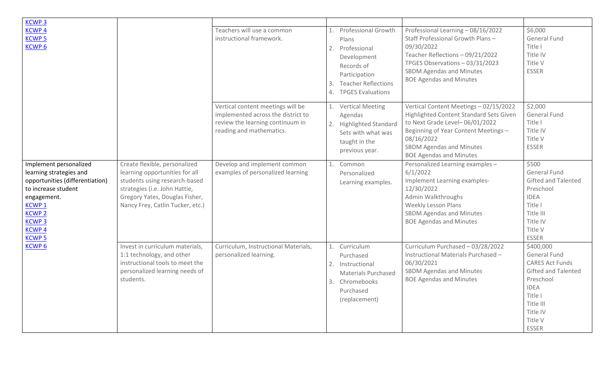| <b>KCWP3</b>                                                                                                                                                                                                          |                                                                                                                                                                                                         |                                                                                                                                         |                                                                                                                                                                                                   |                                                                                                                                                                                                                                                |                                                                                                                                                                                     |
|-----------------------------------------------------------------------------------------------------------------------------------------------------------------------------------------------------------------------|---------------------------------------------------------------------------------------------------------------------------------------------------------------------------------------------------------|-----------------------------------------------------------------------------------------------------------------------------------------|---------------------------------------------------------------------------------------------------------------------------------------------------------------------------------------------------|------------------------------------------------------------------------------------------------------------------------------------------------------------------------------------------------------------------------------------------------|-------------------------------------------------------------------------------------------------------------------------------------------------------------------------------------|
| <b>KCWP4</b><br><b>KCWP5</b><br><b>KCWP6</b>                                                                                                                                                                          |                                                                                                                                                                                                         | Teachers will use a common<br>instructional framework.                                                                                  | <b>Professional Growth</b><br>1.<br>Plans<br>Professional<br>2.<br>Development<br>Records of<br>Participation<br><b>Teacher Reflections</b><br>3.<br><b>TPGES Evaluations</b><br>$\overline{4}$ . | Professional Learning - 08/16/2022<br>Staff Professional Growth Plans-<br>09/30/2022<br>Teacher Reflections - 09/21/2022<br>TPGES Observations - 03/31/2023<br><b>SBDM Agendas and Minutes</b><br><b>BOE Agendas and Minutes</b>               | \$6,000<br><b>General Fund</b><br>Title I<br>Title IV<br>Title V<br><b>ESSER</b>                                                                                                    |
|                                                                                                                                                                                                                       |                                                                                                                                                                                                         | Vertical content meetings will be<br>implemented across the district to<br>review the learning continuum in<br>reading and mathematics. | 1. Vertical Meeting<br>Agendas<br>2. Highlighted Standard<br>Sets with what was<br>taught in the<br>previous year.                                                                                | Vertical Content Meetings - 02/15/2022<br>Highlighted Content Standard Sets Given<br>to Next Grade Level-06/01/2022<br>Beginning of Year Content Meetings -<br>08/16/2022<br><b>SBDM Agendas and Minutes</b><br><b>BOE Agendas and Minutes</b> | \$2,000<br><b>General Fund</b><br>Title I<br>Title IV<br>Title V<br><b>ESSER</b>                                                                                                    |
| Implement personalized<br>learning strategies and<br>opportunities (differentiation)<br>to increase student<br>engagement.<br><b>KCWP1</b><br><b>KCWP<sub>2</sub></b><br><b>KCWP3</b><br><b>KCWP4</b><br><b>KCWP5</b> | Create flexible, personalized<br>learning opportunities for all<br>students using research-based<br>strategies (i.e. John Hattie,<br>Gregory Yates, Douglas Fisher,<br>Nancy Frey, Catlin Tucker, etc.) | Develop and implement common<br>examples of personalized learning                                                                       | Common<br>1.<br>Personalized<br>Learning examples.                                                                                                                                                | Personalized Learning examples -<br>6/1/2022<br>Implement Learning examples-<br>12/30/2022<br>Admin Walkthroughs<br>Weekly Lesson Plans<br><b>SBDM Agendas and Minutes</b><br><b>BOE Agendas and Minutes</b>                                   | \$500<br><b>General Fund</b><br>Gifted and Talented<br>Preschool<br><b>IDEA</b><br>Title I<br>Title III<br>Title IV<br>Title V<br><b>ESSER</b>                                      |
| <b>KCWP6</b>                                                                                                                                                                                                          | Invest in curriculum materials,<br>1:1 technology, and other<br>instructional tools to meet the<br>personalized learning needs of<br>students.                                                          | Curriculum, Instructional Materials,<br>personalized learning.                                                                          | Curriculum<br>1.<br>Purchased<br>Instructional<br>2.<br><b>Materials Purchased</b><br>Chromebooks<br>3.<br>Purchased<br>(replacement)                                                             | Curriculum Purchased - 03/28/2022<br>Instructional Materials Purchased -<br>06/30/2021<br>SBDM Agendas and Minutes<br><b>BOE Agendas and Minutes</b>                                                                                           | \$400,000<br><b>General Fund</b><br><b>CARES Act Funds</b><br><b>Gifted and Talented</b><br>Preschool<br><b>IDEA</b><br>Title I<br>Title III<br>Title IV<br>Title V<br><b>ESSER</b> |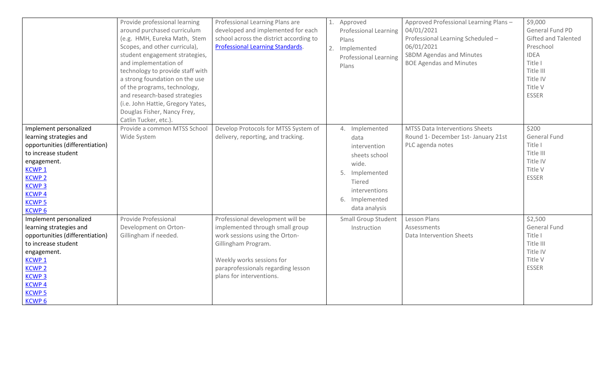|                                                                                                                                                                                                                             | Provide professional learning<br>around purchased curriculum<br>(e.g. HMH, Eureka Math, Stem<br>Scopes, and other curricula),<br>student engagement strategies,<br>and implementation of<br>technology to provide staff with<br>a strong foundation on the use<br>of the programs, technology,<br>and research-based strategies<br>(i.e. John Hattie, Gregory Yates,<br>Douglas Fisher, Nancy Frey,<br>Catlin Tucker, etc.). | Professional Learning Plans are<br>developed and implemented for each<br>school across the district according to<br>Professional Learning Standards.                                                                        | 1.<br>2. | Approved<br><b>Professional Learning</b><br>Plans<br>Implemented<br><b>Professional Learning</b><br>Plans                                        | Approved Professional Learning Plans -<br>04/01/2021<br>Professional Learning Scheduled -<br>06/01/2021<br><b>SBDM Agendas and Minutes</b><br><b>BOE Agendas and Minutes</b> | \$9,000<br>General Fund PD<br><b>Gifted and Talented</b><br>Preschool<br><b>IDEA</b><br>Title I<br>Title III<br>Title IV<br>Title V<br><b>ESSER</b> |
|-----------------------------------------------------------------------------------------------------------------------------------------------------------------------------------------------------------------------------|------------------------------------------------------------------------------------------------------------------------------------------------------------------------------------------------------------------------------------------------------------------------------------------------------------------------------------------------------------------------------------------------------------------------------|-----------------------------------------------------------------------------------------------------------------------------------------------------------------------------------------------------------------------------|----------|--------------------------------------------------------------------------------------------------------------------------------------------------|------------------------------------------------------------------------------------------------------------------------------------------------------------------------------|-----------------------------------------------------------------------------------------------------------------------------------------------------|
| Implement personalized<br>learning strategies and<br>opportunities (differentiation)<br>to increase student<br>engagement.<br><b>KCWP1</b><br><b>KCWP2</b><br><b>KCWP3</b><br><b>KCWP4</b><br><b>KCWP5</b><br><b>KCWP6</b>  | Provide a common MTSS School<br>Wide System                                                                                                                                                                                                                                                                                                                                                                                  | Develop Protocols for MTSS System of<br>delivery, reporting, and tracking.                                                                                                                                                  |          | 4. Implemented<br>data<br>intervention<br>sheets school<br>wide.<br>5. Implemented<br>Tiered<br>interventions<br>6. Implemented<br>data analysis | <b>MTSS Data Interventions Sheets</b><br>Round 1- December 1st- January 21st<br>PLC agenda notes                                                                             | \$200<br><b>General Fund</b><br>Title I<br>Title III<br>Title IV<br>Title V<br><b>ESSER</b>                                                         |
| Implement personalized<br>learning strategies and<br>opportunities (differentiation)<br>to increase student<br>engagement.<br><b>KCWP1</b><br><b>KCWP2</b><br><b>KCWP3</b><br><b>KCWP4</b><br><b>KCWP 5</b><br><b>KCWP6</b> | Provide Professional<br>Development on Orton-<br>Gillingham if needed.                                                                                                                                                                                                                                                                                                                                                       | Professional development will be<br>implemented through small group<br>work sessions using the Orton-<br>Gillingham Program.<br>Weekly works sessions for<br>paraprofessionals regarding lesson<br>plans for interventions. |          | <b>Small Group Student</b><br>Instruction                                                                                                        | Lesson Plans<br>Assessments<br>Data Intervention Sheets                                                                                                                      | \$2,500<br><b>General Fund</b><br>Title I<br>Title III<br>Title IV<br>Title V<br><b>ESSER</b>                                                       |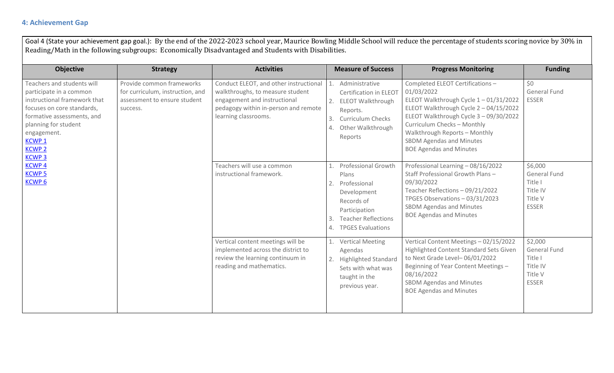#### **4: Achievement Gap**

Goal 4 (State your achievement gap goal.): By the end of the 2022-2023 school year, Maurice Bowling Middle School will reduce the percentage of students scoring novice by 30% in Reading/Math in the following subgroups: Economically Disadvantaged and Students with Disabilities.

| <b>Objective</b>                                                                                                                                                                                                                                                                           | <b>Strategy</b>                                                                                           | <b>Activities</b>                                                                                                                                                          | <b>Measure of Success</b>                                                                                                                                                        | <b>Progress Monitoring</b>                                                                                                                                                                                                                                                                                      | <b>Funding</b>                                                                   |
|--------------------------------------------------------------------------------------------------------------------------------------------------------------------------------------------------------------------------------------------------------------------------------------------|-----------------------------------------------------------------------------------------------------------|----------------------------------------------------------------------------------------------------------------------------------------------------------------------------|----------------------------------------------------------------------------------------------------------------------------------------------------------------------------------|-----------------------------------------------------------------------------------------------------------------------------------------------------------------------------------------------------------------------------------------------------------------------------------------------------------------|----------------------------------------------------------------------------------|
| Teachers and students will<br>participate in a common<br>instructional framework that<br>focuses on core standards,<br>formative assessments, and<br>planning for student<br>engagement.<br><b>KCWP1</b><br><b>KCWP 2</b><br><b>KCWP3</b><br><b>KCWP4</b><br><b>KCWP 5</b><br><b>KCWP6</b> | Provide common frameworks<br>for curriculum, instruction, and<br>assessment to ensure student<br>success. | Conduct ELEOT, and other instructional<br>walkthroughs, to measure student<br>engagement and instructional<br>pedagogy within in-person and remote<br>learning classrooms. | Administrative<br>$\mathbf{1}$ .<br>Certification in ELEOT<br><b>ELEOT Walkthrough</b><br>2.<br>Reports.<br>3.<br><b>Curriculum Checks</b><br>Other Walkthrough<br>4.<br>Reports | Completed ELEOT Certifications -<br>01/03/2022<br>ELEOT Walkthrough Cycle 1-01/31/2022<br>ELEOT Walkthrough Cycle 2 - 04/15/2022<br>ELEOT Walkthrough Cycle 3 - 09/30/2022<br>Curriculum Checks - Monthly<br>Walkthrough Reports - Monthly<br><b>SBDM Agendas and Minutes</b><br><b>BOE Agendas and Minutes</b> | \$0<br><b>General Fund</b><br><b>ESSER</b>                                       |
|                                                                                                                                                                                                                                                                                            |                                                                                                           | Teachers will use a common<br>instructional framework.                                                                                                                     | Professional Growth<br>Plans<br>2.<br>Professional<br>Development<br>Records of<br>Participation<br><b>Teacher Reflections</b><br>3.<br><b>TPGES Evaluations</b><br>4.           | Professional Learning - 08/16/2022<br>Staff Professional Growth Plans -<br>09/30/2022<br>Teacher Reflections - 09/21/2022<br>TPGES Observations - 03/31/2023<br><b>SBDM Agendas and Minutes</b><br><b>BOE Agendas and Minutes</b>                                                                               | \$6,000<br><b>General Fund</b><br>Title I<br>Title IV<br>Title V<br><b>ESSER</b> |
|                                                                                                                                                                                                                                                                                            |                                                                                                           | Vertical content meetings will be<br>implemented across the district to<br>review the learning continuum in<br>reading and mathematics.                                    | <b>Vertical Meeting</b><br>Agendas<br><b>Highlighted Standard</b><br>2.<br>Sets with what was<br>taught in the<br>previous year.                                                 | Vertical Content Meetings - 02/15/2022<br>Highlighted Content Standard Sets Given<br>to Next Grade Level-06/01/2022<br>Beginning of Year Content Meetings -<br>08/16/2022<br><b>SBDM Agendas and Minutes</b><br><b>BOE Agendas and Minutes</b>                                                                  | \$2,000<br>General Fund<br>Title I<br>Title IV<br>Title V<br><b>ESSER</b>        |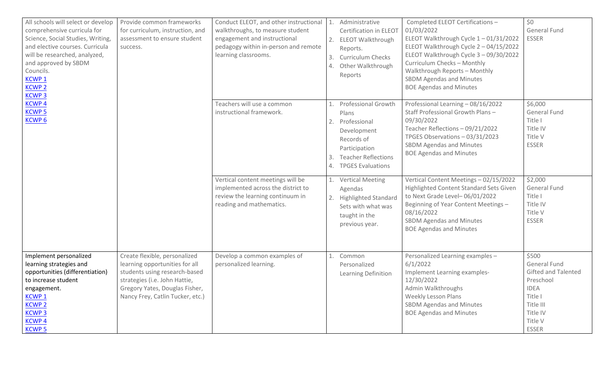| All schools will select or develop<br>comprehensive curricula for<br>Science, Social Studies, Writing,<br>and elective courses. Curricula<br>will be researched, analyzed,<br>and approved by SBDM<br>Councils.<br><b>KCWP1</b><br><b>KCWP2</b><br><b>KCWP3</b> | Provide common frameworks<br>for curriculum, instruction, and<br>assessment to ensure student<br>success.                                                                                               | Conduct ELEOT, and other instructional<br>walkthroughs, to measure student<br>engagement and instructional<br>pedagogy within in-person and remote<br>learning classrooms. | 3.<br>4.       | 1. Administrative<br>Certification in ELEOT<br>2. ELEOT Walkthrough<br>Reports.<br><b>Curriculum Checks</b><br>Other Walkthrough<br>Reports             | Completed ELEOT Certifications-<br>01/03/2022<br>ELEOT Walkthrough Cycle 1-01/31/2022<br>ELEOT Walkthrough Cycle 2 - 04/15/2022<br>ELEOT Walkthrough Cycle 3 - 09/30/2022<br>Curriculum Checks - Monthly<br>Walkthrough Reports - Monthly<br><b>SBDM Agendas and Minutes</b><br><b>BOE Agendas and Minutes</b> | \$0<br><b>General Fund</b><br><b>ESSER</b>                                                                                                            |
|-----------------------------------------------------------------------------------------------------------------------------------------------------------------------------------------------------------------------------------------------------------------|---------------------------------------------------------------------------------------------------------------------------------------------------------------------------------------------------------|----------------------------------------------------------------------------------------------------------------------------------------------------------------------------|----------------|---------------------------------------------------------------------------------------------------------------------------------------------------------|----------------------------------------------------------------------------------------------------------------------------------------------------------------------------------------------------------------------------------------------------------------------------------------------------------------|-------------------------------------------------------------------------------------------------------------------------------------------------------|
| <b>KCWP4</b><br><b>KCWP5</b><br><b>KCWP6</b>                                                                                                                                                                                                                    |                                                                                                                                                                                                         | Teachers will use a common<br>instructional framework.                                                                                                                     | 1.<br>2.<br>3. | <b>Professional Growth</b><br>Plans<br>Professional<br>Development<br>Records of<br>Participation<br><b>Teacher Reflections</b><br>4. TPGES Evaluations | Professional Learning - 08/16/2022<br>Staff Professional Growth Plans-<br>09/30/2022<br>Teacher Reflections - 09/21/2022<br>TPGES Observations - 03/31/2023<br><b>SBDM Agendas and Minutes</b><br><b>BOE Agendas and Minutes</b>                                                                               | \$6,000<br>General Fund<br>Title I<br>Title IV<br>Title V<br><b>ESSER</b>                                                                             |
|                                                                                                                                                                                                                                                                 |                                                                                                                                                                                                         | Vertical content meetings will be<br>implemented across the district to<br>review the learning continuum in<br>reading and mathematics.                                    |                | 1. Vertical Meeting<br>Agendas<br>2. Highlighted Standard<br>Sets with what was<br>taught in the<br>previous year.                                      | Vertical Content Meetings - 02/15/2022<br>Highlighted Content Standard Sets Given<br>to Next Grade Level-06/01/2022<br>Beginning of Year Content Meetings -<br>08/16/2022<br><b>SBDM Agendas and Minutes</b><br><b>BOE Agendas and Minutes</b>                                                                 | \$2,000<br><b>General Fund</b><br>Title I<br>Title IV<br>Title V<br><b>ESSER</b>                                                                      |
| Implement personalized<br>learning strategies and<br>opportunities (differentiation)<br>to increase student<br>engagement.<br><b>KCWP1</b><br><b>KCWP2</b><br><b>KCWP<sub>3</sub></b><br><b>KCWP4</b><br><b>KCWP5</b>                                           | Create flexible, personalized<br>learning opportunities for all<br>students using research-based<br>strategies (i.e. John Hattie,<br>Gregory Yates, Douglas Fisher,<br>Nancy Frey, Catlin Tucker, etc.) | Develop a common examples of<br>personalized learning.                                                                                                                     |                | 1. Common<br>Personalized<br>Learning Definition                                                                                                        | Personalized Learning examples -<br>6/1/2022<br>Implement Learning examples-<br>12/30/2022<br>Admin Walkthroughs<br><b>Weekly Lesson Plans</b><br>SBDM Agendas and Minutes<br><b>BOE Agendas and Minutes</b>                                                                                                   | \$500<br><b>General Fund</b><br><b>Gifted and Talented</b><br>Preschool<br><b>IDEA</b><br>Title I<br>Title III<br>Title IV<br>Title V<br><b>ESSER</b> |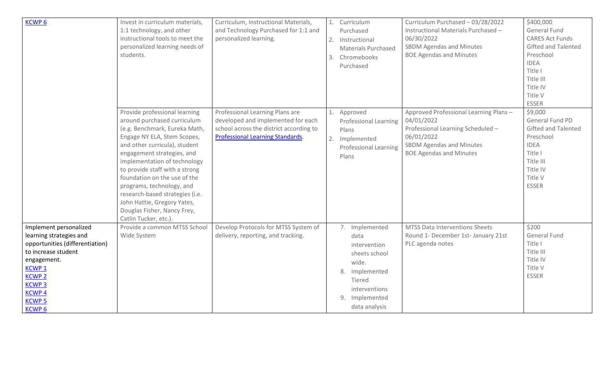| <b>KCWP6</b>                                                                                                                                                                                                                     | Invest in curriculum materials,<br>1:1 technology, and other<br>instructional tools to meet the<br>personalized learning needs of<br>students.                                                                                                                                                                                                                                                                                                       | Curriculum, Instructional Materials,<br>and Technology Purchased for 1:1 and<br>personalized learning.                                                      | 2.<br>3. | 1. Curriculum<br>Purchased<br>Instructional<br><b>Materials Purchased</b><br>Chromebooks<br>Purchased                                            | Curriculum Purchased - 03/28/2022<br>Instructional Materials Purchased -<br>06/30/2022<br><b>SBDM Agendas and Minutes</b><br><b>BOE Agendas and Minutes</b>           | \$400,000<br>General Fund<br><b>CARES Act Funds</b><br><b>Gifted and Talented</b><br>Preschool<br><b>IDEA</b><br>Title I<br>Title III<br>Title IV<br>Title V<br><b>ESSER</b> |
|----------------------------------------------------------------------------------------------------------------------------------------------------------------------------------------------------------------------------------|------------------------------------------------------------------------------------------------------------------------------------------------------------------------------------------------------------------------------------------------------------------------------------------------------------------------------------------------------------------------------------------------------------------------------------------------------|-------------------------------------------------------------------------------------------------------------------------------------------------------------|----------|--------------------------------------------------------------------------------------------------------------------------------------------------|-----------------------------------------------------------------------------------------------------------------------------------------------------------------------|------------------------------------------------------------------------------------------------------------------------------------------------------------------------------|
|                                                                                                                                                                                                                                  | Provide professional learning<br>around purchased curriculum<br>(e.g. Benchmark, Eureka Math,<br>Engage NY ELA, Stem Scopes,<br>and other curricula), student<br>engagement strategies, and<br>implementation of technology<br>to provide staff with a strong<br>foundation on the use of the<br>programs, technology, and<br>research-based strategies (i.e.<br>John Hattie, Gregory Yates,<br>Douglas Fisher, Nancy Frey,<br>Catlin Tucker, etc.). | Professional Learning Plans are<br>developed and implemented for each<br>school across the district according to<br><b>Professional Learning Standards.</b> | 1.<br>2. | Approved<br><b>Professional Learning</b><br>Plans<br>Implemented<br><b>Professional Learning</b><br>Plans                                        | Approved Professional Learning Plans -<br>04/01/2022<br>Professional Learning Scheduled -<br>06/01/2022<br>SBDM Agendas and Minutes<br><b>BOE Agendas and Minutes</b> | \$9,000<br>General Fund PD<br>Gifted and Talented<br>Preschool<br><b>IDEA</b><br>Title I<br>Title III<br>Title IV<br>Title V<br><b>ESSER</b>                                 |
| Implement personalized<br>learning strategies and<br>opportunities (differentiation)<br>to increase student<br>engagement.<br>KCWP <sub>1</sub><br><b>KCWP2</b><br><b>KCWP3</b><br><b>KCWP4</b><br><b>KCWP 5</b><br><b>KCWP6</b> | Provide a common MTSS School<br>Wide System                                                                                                                                                                                                                                                                                                                                                                                                          | Develop Protocols for MTSS System of<br>delivery, reporting, and tracking.                                                                                  |          | 7. Implemented<br>data<br>intervention<br>sheets school<br>wide.<br>8. Implemented<br>Tiered<br>interventions<br>9. Implemented<br>data analysis | MTSS Data Interventions Sheets<br>Round 1- December 1st- January 21st<br>PLC agenda notes                                                                             | \$200<br>General Fund<br>Title I<br>Title III<br>Title IV<br>Title V<br><b>ESSER</b>                                                                                         |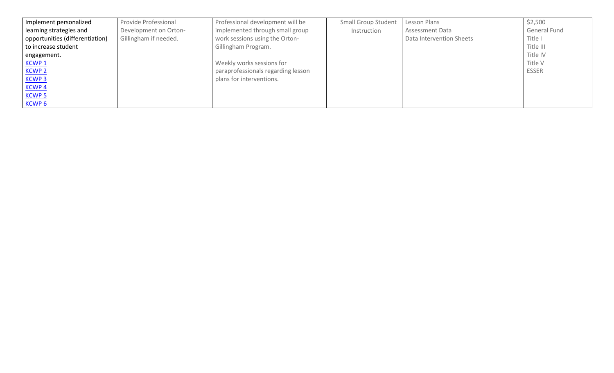| Implement personalized          | Provide Professional  | Professional development will be   | <b>Small Group Student</b> | Lesson Plans             | \$2,500      |
|---------------------------------|-----------------------|------------------------------------|----------------------------|--------------------------|--------------|
| learning strategies and         | Development on Orton- | implemented through small group    | Instruction                | <b>Assessment Data</b>   | General Fund |
| opportunities (differentiation) | Gillingham if needed. | work sessions using the Orton-     |                            | Data Intervention Sheets | Title I      |
| to increase student             |                       | Gillingham Program.                |                            |                          | Title III    |
| engagement.                     |                       |                                    |                            |                          | Title IV     |
| <u>KCWP 1</u>                   |                       | Weekly works sessions for          |                            |                          | Title V      |
| <b>KCWP 2</b>                   |                       | paraprofessionals regarding lesson |                            |                          | <b>ESSER</b> |
| <b>KCWP3</b>                    |                       | plans for interventions.           |                            |                          |              |
| <b>KCWP4</b>                    |                       |                                    |                            |                          |              |
| <u>KCWP 5</u>                   |                       |                                    |                            |                          |              |
| KCWP <sub>6</sub>               |                       |                                    |                            |                          |              |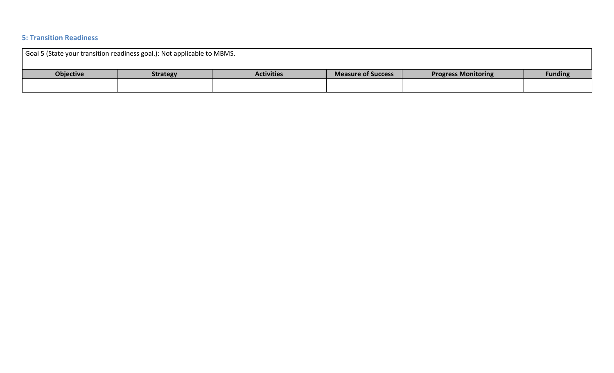#### **5: Transition Readiness**

| Goal 5 (State your transition readiness goal.): Not applicable to MBMS. |                 |                   |                           |                            |                |  |
|-------------------------------------------------------------------------|-----------------|-------------------|---------------------------|----------------------------|----------------|--|
| <b>Objective</b>                                                        | <b>Strategy</b> | <b>Activities</b> | <b>Measure of Success</b> | <b>Progress Monitoring</b> | <b>Funding</b> |  |
|                                                                         |                 |                   |                           |                            |                |  |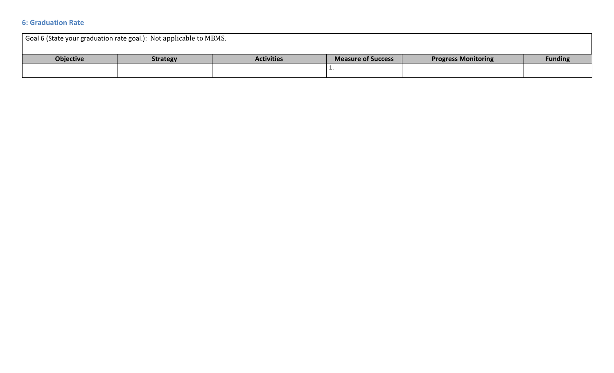#### **6: Graduation Rate**

| Goal 6 (State your graduation rate goal.): Not applicable to MBMS. |                 |                   |                           |                            |                |  |  |
|--------------------------------------------------------------------|-----------------|-------------------|---------------------------|----------------------------|----------------|--|--|
| <b>Objective</b>                                                   | <b>Strategy</b> | <b>Activities</b> | <b>Measure of Success</b> | <b>Progress Monitoring</b> | <b>Funding</b> |  |  |
|                                                                    |                 |                   |                           |                            |                |  |  |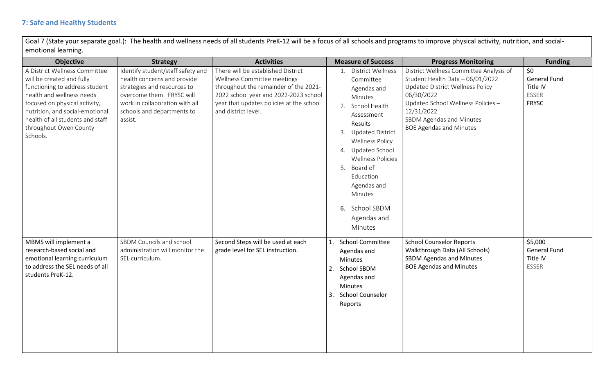Goal 7 (State your separate goal.): The health and wellness needs of all students PreK-12 will be a focus of all schools and programs to improve physical activity, nutrition, and socialemotional learning.

| <b>Objective</b>                                                                                                                                                                                                                                                        | <b>Strategy</b>                                                                                                                                                                                         | <b>Activities</b>                                                                                                                                                                                                      | <b>Measure of Success</b>                                                                                                                                                                                                                                                                                       | <b>Progress Monitoring</b>                                                                                                                                                                                                                        | <b>Funding</b>                                                         |
|-------------------------------------------------------------------------------------------------------------------------------------------------------------------------------------------------------------------------------------------------------------------------|---------------------------------------------------------------------------------------------------------------------------------------------------------------------------------------------------------|------------------------------------------------------------------------------------------------------------------------------------------------------------------------------------------------------------------------|-----------------------------------------------------------------------------------------------------------------------------------------------------------------------------------------------------------------------------------------------------------------------------------------------------------------|---------------------------------------------------------------------------------------------------------------------------------------------------------------------------------------------------------------------------------------------------|------------------------------------------------------------------------|
| A District Wellness Committee<br>will be created and fully<br>functioning to address student<br>health and wellness needs<br>focused on physical activity,<br>nutrition, and social-emotional<br>health of all students and staff<br>throughout Owen County<br>Schools. | Identify student/staff safety and<br>health concerns and provide<br>strategies and resources to<br>overcome them. FRYSC will<br>work in collaboration with all<br>schools and departments to<br>assist. | There will be established District<br>Wellness Committee meetings<br>throughout the remainder of the 2021-<br>2022 school year and 2022-2023 school<br>year that updates policies at the school<br>and district level. | District Wellness<br>1.<br>Committee<br>Agendas and<br>Minutes<br>2. School Health<br>Assessment<br>Results<br>3. Updated District<br><b>Wellness Policy</b><br>4. Updated School<br><b>Wellness Policies</b><br>5. Board of<br>Education<br>Agendas and<br>Minutes<br>6. School SBDM<br>Agendas and<br>Minutes | District Wellness Committee Analysis of<br>Student Health Data - 06/01/2022<br>Updated District Wellness Policy -<br>06/30/2022<br>Updated School Wellness Policies -<br>12/31/2022<br>SBDM Agendas and Minutes<br><b>BOE Agendas and Minutes</b> | \$0<br><b>General Fund</b><br>Title IV<br><b>ESSER</b><br><b>FRYSC</b> |
| MBMS will implement a<br>research-based social and<br>emotional learning curriculum<br>to address the SEL needs of all<br>students PreK-12.                                                                                                                             | SBDM Councils and school<br>administration will monitor the<br>SEL curriculum.                                                                                                                          | Second Steps will be used at each<br>grade level for SEL instruction.                                                                                                                                                  | <b>School Committee</b><br>1.<br>Agendas and<br><b>Minutes</b><br><b>School SBDM</b><br>2.<br>Agendas and<br><b>Minutes</b><br>3.<br><b>School Counselor</b><br>Reports                                                                                                                                         | <b>School Counselor Reports</b><br>Walkthrough Data (All Schools)<br><b>SBDM Agendas and Minutes</b><br><b>BOE Agendas and Minutes</b>                                                                                                            | \$5,000<br><b>General Fund</b><br>Title IV<br><b>ESSER</b>             |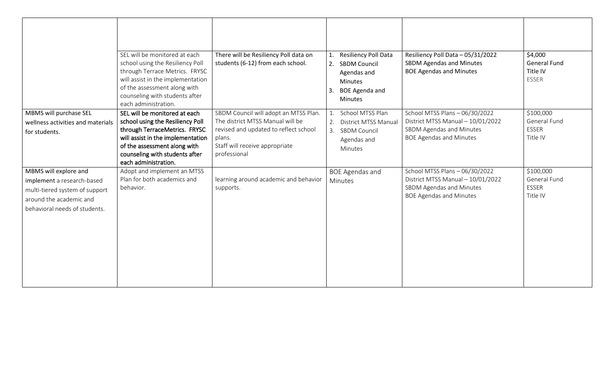|                                                                                                                                                   | SEL will be monitored at each                                                                                                                                                                                                     | There will be Resiliency Poll data on                                                                                                                                          | Resiliency Poll Data<br>1.                                                                                         | Resiliency Poll Data - 05/31/2022                                                                                                 | \$4,000                                               |
|---------------------------------------------------------------------------------------------------------------------------------------------------|-----------------------------------------------------------------------------------------------------------------------------------------------------------------------------------------------------------------------------------|--------------------------------------------------------------------------------------------------------------------------------------------------------------------------------|--------------------------------------------------------------------------------------------------------------------|-----------------------------------------------------------------------------------------------------------------------------------|-------------------------------------------------------|
|                                                                                                                                                   | school using the Resiliency Poll<br>through Terrace Metrics. FRYSC<br>will assist in the implementation<br>of the assessment along with<br>counseling with students after<br>each administration.                                 | students (6-12) from each school.                                                                                                                                              | <b>SBDM Council</b><br>2.<br>Agendas and<br>Minutes<br>3.<br><b>BOE Agenda and</b><br><b>Minutes</b>               | <b>SBDM Agendas and Minutes</b><br><b>BOE Agendas and Minutes</b>                                                                 | <b>General Fund</b><br>Title IV<br><b>ESSER</b>       |
| MBMS will purchase SEL<br>wellness activities and materials<br>for students.                                                                      | SEL will be monitored at each<br>school using the Resiliency Poll<br>through TerraceMetrics. FRYSC<br>will assist in the implementation<br>of the assessment along with<br>counseling with students after<br>each administration. | SBDM Council will adopt an MTSS Plan.<br>The district MTSS Manual will be<br>revised and updated to reflect school<br>plans.<br>Staff will receive appropriate<br>professional | School MTSS Plan<br>1.<br><b>District MTSS Manual</b><br>2.<br><b>SBDM Council</b><br>3.<br>Agendas and<br>Minutes | School MTSS Plans - 06/30/2022<br>District MTSS Manual - 10/01/2022<br>SBDM Agendas and Minutes<br><b>BOE Agendas and Minutes</b> | \$100,000<br>General Fund<br><b>ESSER</b><br>Title IV |
| MBMS will explore and<br>implement a research-based<br>multi-tiered system of support<br>around the academic and<br>behavioral needs of students. | Adopt and implement an MTSS<br>Plan for both academics and<br>behavior.                                                                                                                                                           | learning around academic and behavior<br>supports.                                                                                                                             | <b>BOE Agendas and</b><br>Minutes                                                                                  | School MTSS Plans - 06/30/2022<br>District MTSS Manual - 10/01/2022<br>SBDM Agendas and Minutes<br><b>BOE Agendas and Minutes</b> | \$100,000<br>General Fund<br><b>ESSER</b><br>Title IV |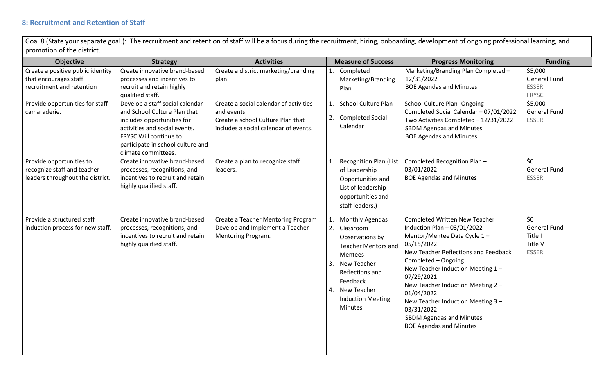Goal 8 (State your separate goal.): The recruitment and retention of staff will be a focus during the recruitment, hiring, onboarding, development of ongoing professional learning, and promotion of the district.

| <b>Objective</b>                                                                            | <b>Strategy</b>                                                                                                                                                                                                      | <b>Activities</b>                                                                                                                   |                      | <b>Measure of Success</b>                                                                                                                                                                           | <b>Progress Monitoring</b>                                                                                                                                                                                                                                                                                                                                                                             | <b>Funding</b>                                                  |
|---------------------------------------------------------------------------------------------|----------------------------------------------------------------------------------------------------------------------------------------------------------------------------------------------------------------------|-------------------------------------------------------------------------------------------------------------------------------------|----------------------|-----------------------------------------------------------------------------------------------------------------------------------------------------------------------------------------------------|--------------------------------------------------------------------------------------------------------------------------------------------------------------------------------------------------------------------------------------------------------------------------------------------------------------------------------------------------------------------------------------------------------|-----------------------------------------------------------------|
| Create a positive public identity<br>that encourages staff<br>recruitment and retention     | Create innovative brand-based<br>processes and incentives to<br>recruit and retain highly<br>qualified staff.                                                                                                        | Create a district marketing/branding<br>plan                                                                                        |                      | 1. Completed<br>Marketing/Branding<br>Plan                                                                                                                                                          | Marketing/Branding Plan Completed -<br>12/31/2022<br><b>BOE Agendas and Minutes</b>                                                                                                                                                                                                                                                                                                                    | \$5,000<br><b>General Fund</b><br><b>ESSER</b><br><b>FRYSC</b>  |
| Provide opportunities for staff<br>camaraderie.                                             | Develop a staff social calendar<br>and School Culture Plan that<br>includes opportunities for<br>activities and social events.<br>FRYSC Will continue to<br>participate in school culture and<br>climate committees. | Create a social calendar of activities<br>and events.<br>Create a school Culture Plan that<br>includes a social calendar of events. | 2.                   | <b>School Culture Plan</b><br><b>Completed Social</b><br>Calendar                                                                                                                                   | <b>School Culture Plan- Ongoing</b><br>Completed Social Calendar - 07/01/2022<br>Two Activities Completed - 12/31/2022<br><b>SBDM Agendas and Minutes</b><br><b>BOE Agendas and Minutes</b>                                                                                                                                                                                                            | \$5,000<br><b>General Fund</b><br><b>ESSER</b>                  |
| Provide opportunities to<br>recognize staff and teacher<br>leaders throughout the district. | Create innovative brand-based<br>processes, recognitions, and<br>incentives to recruit and retain<br>highly qualified staff.                                                                                         | Create a plan to recognize staff<br>leaders.                                                                                        | 1.                   | <b>Recognition Plan (List</b><br>of Leadership<br>Opportunities and<br>List of leadership<br>opportunities and<br>staff leaders.)                                                                   | Completed Recognition Plan-<br>03/01/2022<br><b>BOE Agendas and Minutes</b>                                                                                                                                                                                                                                                                                                                            | \$0<br><b>General Fund</b><br><b>ESSER</b>                      |
| Provide a structured staff<br>induction process for new staff.                              | Create innovative brand-based<br>processes, recognitions, and<br>incentives to recruit and retain<br>highly qualified staff.                                                                                         | Create a Teacher Mentoring Program<br>Develop and Implement a Teacher<br>Mentoring Program.                                         | 1.<br>2.<br>3.<br>4. | Monthly Agendas<br>Classroom<br>Observations by<br><b>Teacher Mentors and</b><br>Mentees<br>New Teacher<br>Reflections and<br>Feedback<br>New Teacher<br><b>Induction Meeting</b><br><b>Minutes</b> | <b>Completed Written New Teacher</b><br>Induction Plan $-03/01/2022$<br>Mentor/Mentee Data Cycle 1-<br>05/15/2022<br>New Teacher Reflections and Feedback<br>Completed - Ongoing<br>New Teacher Induction Meeting 1-<br>07/29/2021<br>New Teacher Induction Meeting 2 -<br>01/04/2022<br>New Teacher Induction Meeting 3 -<br>03/31/2022<br>SBDM Agendas and Minutes<br><b>BOE Agendas and Minutes</b> | 50<br><b>General Fund</b><br>Title I<br>Title V<br><b>ESSER</b> |